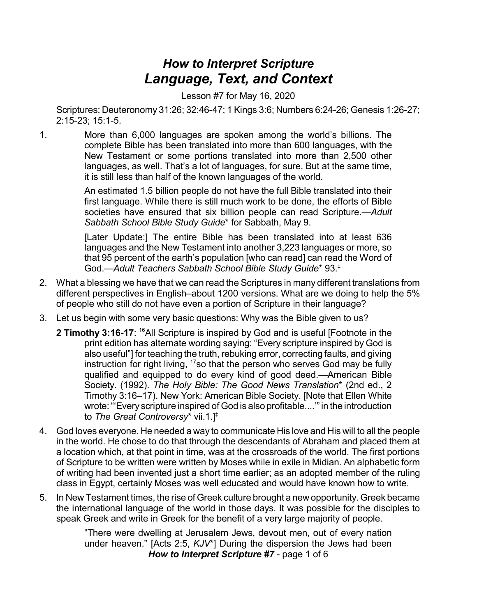## *How to Interpret Scripture Language, Text, and Context*

Lesson #7 for May 16, 2020

Scriptures: Deuteronomy 31:26; 32:46-47; 1 Kings 3:6; Numbers 6:24-26; Genesis 1:26-27; 2:15-23; 15:1-5.

1. More than 6,000 languages are spoken among the world's billions. The complete Bible has been translated into more than 600 languages, with the New Testament or some portions translated into more than 2,500 other languages, as well. That's a lot of languages, for sure. But at the same time, it is still less than half of the known languages of the world.

> An estimated 1.5 billion people do not have the full Bible translated into their first language. While there is still much work to be done, the efforts of Bible societies have ensured that six billion people can read Scripture.—*Adult Sabbath School Bible Study Guide*\* for Sabbath, May 9.

> [Later Update:] The entire Bible has been translated into at least 636 languages and the New Testament into another 3,223 languages or more, so that 95 percent of the earth's population [who can read] can read the Word of God.—*Adult Teachers Sabbath School Bible Study Guide*\* 93. ‡

- 2. What a blessing we have that we can read the Scriptures in many different translations from different perspectives in English–about 1200 versions. What are we doing to help the 5% of people who still do not have even a portion of Scripture in their language?
- 3. Let us begin with some very basic questions: Why was the Bible given to us?
	- **2 Timothy 3:16-17**: <sup>16</sup>All Scripture is inspired by God and is useful [Footnote in the print edition has alternate wording saying: "Every scripture inspired by God is also useful"] for teaching the truth, rebuking error, correcting faults, and giving instruction for right living, <sup>17</sup>so that the person who serves God may be fully qualified and equipped to do every kind of good deed.—American Bible Society. (1992). *The Holy Bible: The Good News Translation*\* (2nd ed., 2 Timothy 3:16–17). New York: American Bible Society. [Note that Ellen White wrote:"'Every scripture inspired of God is also profitable....'" in the introduction to *The Great Controversy*\* vii.1.] ‡
- 4. God loves everyone. He needed a way to communicate His love and His will to all the people in the world. He chose to do that through the descendants of Abraham and placed them at a location which, at that point in time, was at the crossroads of the world. The first portions of Scripture to be written were written by Moses while in exile in Midian. An alphabetic form of writing had been invented just a short time earlier; as an adopted member of the ruling class in Egypt, certainly Moses was well educated and would have known how to write.
- 5. In New Testament times, the rise of Greek culture brought a new opportunity. Greek became the international language of the world in those days. It was possible for the disciples to speak Greek and write in Greek for the benefit of a very large majority of people.

"There were dwelling at Jerusalem Jews, devout men, out of every nation under heaven." [Acts 2:5, *KJV*\*] During the dispersion the Jews had been *How to Interpret Scripture #7* - page 1 of 6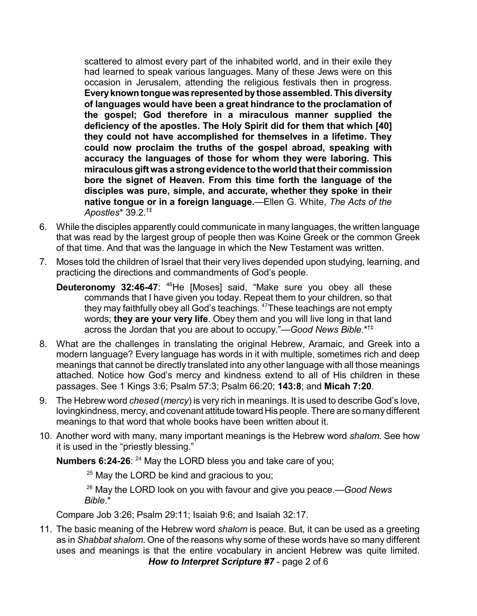scattered to almost every part of the inhabited world, and in their exile they had learned to speak various languages. Many of these Jews were on this occasion in Jerusalem, attending the religious festivals then in progress. **Everyknowntonguewas representedbythose assembled.Thisdiversity of languages would have been a great hindrance to the proclamation of the gospel; God therefore in a miraculous manner supplied the deficiency of the apostles. The Holy Spirit did for them that which [40] they could not have accomplished for themselves in a lifetime. They could now proclaim the truths of the gospel abroad, speaking with accuracy the languages of those for whom they were laboring. This miraculousgift was a strongevidence totheworldthat their commission bore the signet of Heaven. From this time forth the language of the disciples was pure, simple, and accurate, whether they spoke in their native tongue or in a foreign language.**—Ellen G. White, *The Acts of the Apostles*\* 39.2. †‡

- 6. While the disciples apparently could communicate in many languages, the written language that was read by the largest group of people then was Koine Greek or the common Greek of that time. And that was the language in which the New Testament was written.
- 7. Moses told the children of Israel that their very lives depended upon studying, learning, and practicing the directions and commandments of God's people.
	- **Deuteronomy 32:46-47**: <sup>46</sup>He [Moses] said, "Make sure you obey all these commands that I have given you today. Repeat them to your children, so that they may faithfully obey all God's teachings. <sup>47</sup>These teachings are not empty words; **they are your very life**. Obey them and you will live long in that land across the Jordan that you are about to occupy."—*Good News Bible*.\* †‡
- 8. What are the challenges in translating the original Hebrew, Aramaic, and Greek into a modern language? Every language has words in it with multiple, sometimes rich and deep meanings that cannot be directly translated into any other language with all those meanings attached. Notice how God's mercy and kindness extend to all of His children in these passages. See 1 Kings 3:6; Psalm 57:3; Psalm 66:20; **143:8**; and **Micah 7:20**.
- 9. The Hebrew word *chesed* (*mercy*) is very rich in meanings. It is used to describe God's love, lovingkindness, mercy, and covenant attitude toward His people. There are so many different meanings to that word that whole books have been written about it.
- 10. Another word with many, many important meanings is the Hebrew word *shalom*. See how it is used in the "priestly blessing."

**Numbers 6:24-26**: <sup>24</sup> May the LORD bless you and take care of you;

 $25$  May the LORD be kind and gracious to you;

<sup>26</sup> May the LORD look on you with favour and give you peace.—*Good News Bible*.\*

Compare Job 3:26; Psalm 29:11; Isaiah 9:6; and Isaiah 32:17.

11. The basic meaning of the Hebrew word *shalom* is peace. But, it can be used as a greeting as in *Shabbat shalom*. One of the reasons why some of these words have so many different uses and meanings is that the entire vocabulary in ancient Hebrew was quite limited. *How to Interpret Scripture #7* - page 2 of 6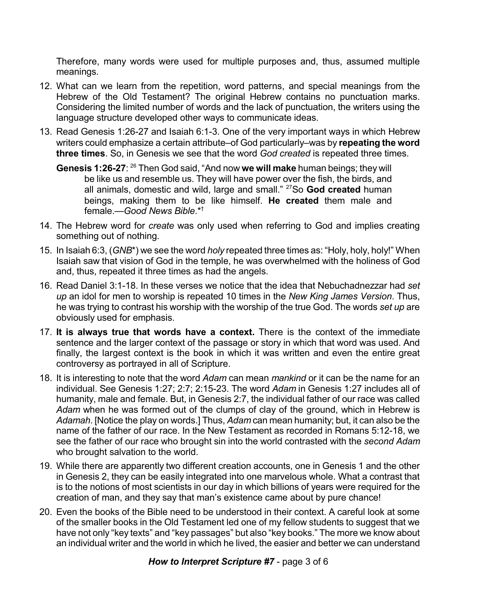Therefore, many words were used for multiple purposes and, thus, assumed multiple meanings.

- 12. What can we learn from the repetition, word patterns, and special meanings from the Hebrew of the Old Testament? The original Hebrew contains no punctuation marks. Considering the limited number of words and the lack of punctuation, the writers using the language structure developed other ways to communicate ideas.
- 13. Read Genesis 1:26-27 and Isaiah 6:1-3. One of the very important ways in which Hebrew writers could emphasize a certain attribute–of God particularly–was by **repeating the word three times**. So, in Genesis we see that the word *God created* is repeated three times.
	- Genesis 1:26-27: <sup>26</sup> Then God said, "And now we will make human beings; they will be like us and resemble us. They will have power over the fish, the birds, and all animals, domestic and wild, large and small." <sup>27</sup>So **God created** human beings, making them to be like himself. **He created** them male and female.—*Good News Bible*.\* †
- 14. The Hebrew word for *create* was only used when referring to God and implies creating something out of nothing.
- 15. In Isaiah 6:3, (*GNB*\*) we see the word *holy* repeated three times as: "Holy, holy, holy!" When Isaiah saw that vision of God in the temple, he was overwhelmed with the holiness of God and, thus, repeated it three times as had the angels.
- 16. Read Daniel 3:1-18. In these verses we notice that the idea that Nebuchadnezzar had *set up* an idol for men to worship is repeated 10 times in the *New King James Version*. Thus, he was trying to contrast his worship with the worship of the true God. The words *set up* are obviously used for emphasis.
- 17. **It is always true that words have a context.** There is the context of the immediate sentence and the larger context of the passage or story in which that word was used. And finally, the largest context is the book in which it was written and even the entire great controversy as portrayed in all of Scripture.
- 18. It is interesting to note that the word *Adam* can mean *mankind* or it can be the name for an individual. See Genesis 1:27; 2:7; 2:15-23. The word *Adam* in Genesis 1:27 includes all of humanity, male and female. But, in Genesis 2:7, the individual father of our race was called *Adam* when he was formed out of the clumps of clay of the ground, which in Hebrew is *Adamah*. [Notice the play on words.] Thus, *Adam* can mean humanity; but, it can also be the name of the father of our race. In the New Testament as recorded in Romans 5:12-18, we see the father of our race who brought sin into the world contrasted with the *second Adam* who brought salvation to the world.
- 19. While there are apparently two different creation accounts, one in Genesis 1 and the other in Genesis 2, they can be easily integrated into one marvelous whole. What a contrast that is to the notions of most scientists in our day in which billions of years were required for the creation of man, and they say that man's existence came about by pure chance!
- 20. Even the books of the Bible need to be understood in their context. A careful look at some of the smaller books in the Old Testament led one of my fellow students to suggest that we have not only "key texts" and "key passages" but also "key books." The more we know about an individual writer and the world in which he lived, the easier and better we can understand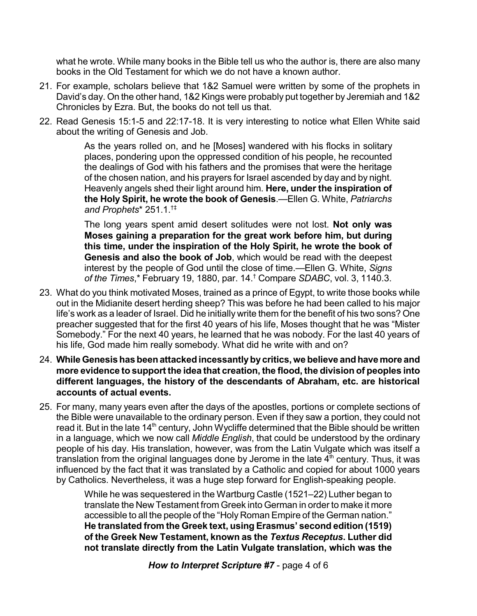what he wrote. While many books in the Bible tell us who the author is, there are also many books in the Old Testament for which we do not have a known author.

- 21. For example, scholars believe that 1&2 Samuel were written by some of the prophets in David's day. On the other hand, 1&2 Kings were probably put together by Jeremiah and 1&2 Chronicles by Ezra. But, the books do not tell us that.
- 22. Read Genesis 15:1-5 and 22:17-18. It is very interesting to notice what Ellen White said about the writing of Genesis and Job.

As the years rolled on, and he [Moses] wandered with his flocks in solitary places, pondering upon the oppressed condition of his people, he recounted the dealings of God with his fathers and the promises that were the heritage of the chosen nation, and his prayers for Israel ascended by day and by night. Heavenly angels shed their light around him. **Here, under the inspiration of the Holy Spirit, he wrote the book of Genesis**.—Ellen G. White, *Patriarchs and Prophets*\* 251.1. †‡

The long years spent amid desert solitudes were not lost. **Not only was Moses gaining a preparation for the great work before him, but during this time, under the inspiration of the Holy Spirit, he wrote the book of Genesis and also the book of Job**, which would be read with the deepest interest by the people of God until the close of time.—Ellen G. White, *Signs of the Times*,\* February 19, 1880, par. 14. † Compare *SDABC*, vol. 3, 1140.3.

- 23. What do you think motivated Moses, trained as a prince of Egypt, to write those books while out in the Midianite desert herding sheep? This was before he had been called to his major life's work as a leader of Israel. Did he initially write them for the benefit of his two sons? One preacher suggested that for the first 40 years of his life, Moses thought that he was "Mister Somebody." For the next 40 years, he learned that he was nobody. For the last 40 years of his life, God made him really somebody. What did he write with and on?
- 24. **WhileGenesis has beenattackedincessantlybycritics,we believe andhave more and more evidence to support the idea that creation, the flood, the division of peoples into different languages, the history of the descendants of Abraham, etc. are historical accounts of actual events.**
- 25. For many, many years even after the days of the apostles, portions or complete sections of the Bible were unavailable to the ordinary person. Even if they saw a portion, they could not read it. But in the late 14<sup>th</sup> century, John Wycliffe determined that the Bible should be written in a language, which we now call *Middle English*, that could be understood by the ordinary people of his day. His translation, however, was from the Latin Vulgate which was itself a translation from the original languages done by Jerome in the late 4<sup>th</sup> century. Thus, it was influenced by the fact that it was translated by a Catholic and copied for about 1000 years by Catholics. Nevertheless, it was a huge step forward for English-speaking people.

While he was sequestered in the Wartburg Castle (1521–22) Luther began to translate the New Testament from Greek into German in order to make it more accessible to all the people of the "Holy Roman Empire of the German nation." **He translated from the Greek text, using Erasmus' second edition (1519) of the Greek New Testament, known as the** *Textus Receptus***. Luther did not translate directly from the Latin Vulgate translation, which was the**

*How to Interpret Scripture #7* - page 4 of 6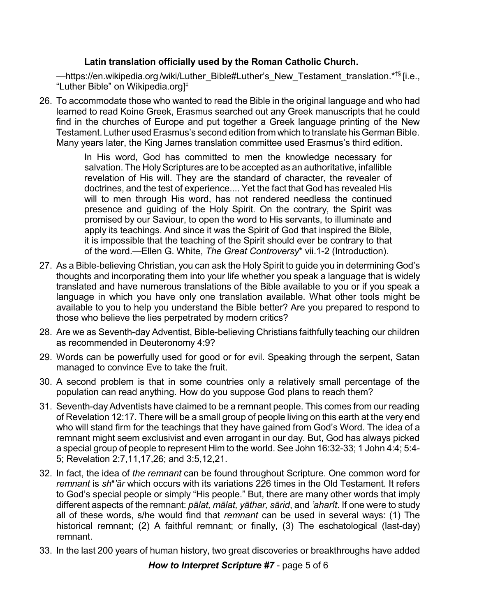## **Latin translation officially used by the Roman Catholic Church.**

—https://en.wikipedia.org /wiki/Luther\_Bible#Luther's\_New\_Testament\_translation.\*<sup>†§</sup> [i.e., "Luther Bible" on Wikipedia.org] ‡

26. To accommodate those who wanted to read the Bible in the original language and who had learned to read Koine Greek, Erasmus searched out any Greek manuscripts that he could find in the churches of Europe and put together a Greek language printing of the New Testament. Luther used Erasmus's second edition from which to translate his German Bible. Many years later, the King James translation committee used Erasmus's third edition.

> In His word, God has committed to men the knowledge necessary for salvation. The Holy Scriptures are to be accepted as an authoritative, infallible revelation of His will. They are the standard of character, the revealer of doctrines, and the test of experience.... Yet the fact that God has revealed His will to men through His word, has not rendered needless the continued presence and guiding of the Holy Spirit. On the contrary, the Spirit was promised by our Saviour, to open the word to His servants, to illuminate and apply its teachings. And since it was the Spirit of God that inspired the Bible, it is impossible that the teaching of the Spirit should ever be contrary to that of the word.—Ellen G. White, *The Great Controversy*\* vii.1-2 (Introduction).

- 27. As a Bible-believing Christian, you can ask the Holy Spirit to guide you in determining God's thoughts and incorporating them into your life whether you speak a language that is widely translated and have numerous translations of the Bible available to you or if you speak a language in which you have only one translation available. What other tools might be available to you to help you understand the Bible better? Are you prepared to respond to those who believe the lies perpetrated by modern critics?
- 28. Are we as Seventh-day Adventist, Bible-believing Christians faithfully teaching our children as recommended in Deuteronomy 4:9?
- 29. Words can be powerfully used for good or for evil. Speaking through the serpent, Satan managed to convince Eve to take the fruit.
- 30. A second problem is that in some countries only a relatively small percentage of the population can read anything. How do you suppose God plans to reach them?
- 31. Seventh-dayAdventists have claimed to be a remnant people. This comes from our reading of Revelation 12:17. There will be a small group of people living on this earth at the very end who will stand firm for the teachings that they have gained from God's Word. The idea of a remnant might seem exclusivist and even arrogant in our day. But, God has always picked a special group of people to represent Him to the world. See John 16:32-33; 1 John 4:4; 5:4- 5; Revelation 2:7,11,17,26; and 3:5,12,21.
- 32. In fact, the idea of *the remnant* can be found throughout Scripture. One common word for remnant is sh<sup>e</sup>'ar which occurs with its variations 226 times in the Old Testament. It refers to God's special people or simply "His people." But, there are many other words that imply different aspects of the remnant: *pâlat, mâlat, yâthar, sârid*, and *'aharît*. If one were to study all of these words, s/he would find that *remnant* can be used in several ways: (1) The historical remnant; (2) A faithful remnant; or finally, (3) The eschatological (last-day) remnant.
- 33. In the last 200 years of human history, two great discoveries or breakthroughs have added

*How to Interpret Scripture #7* - page 5 of 6